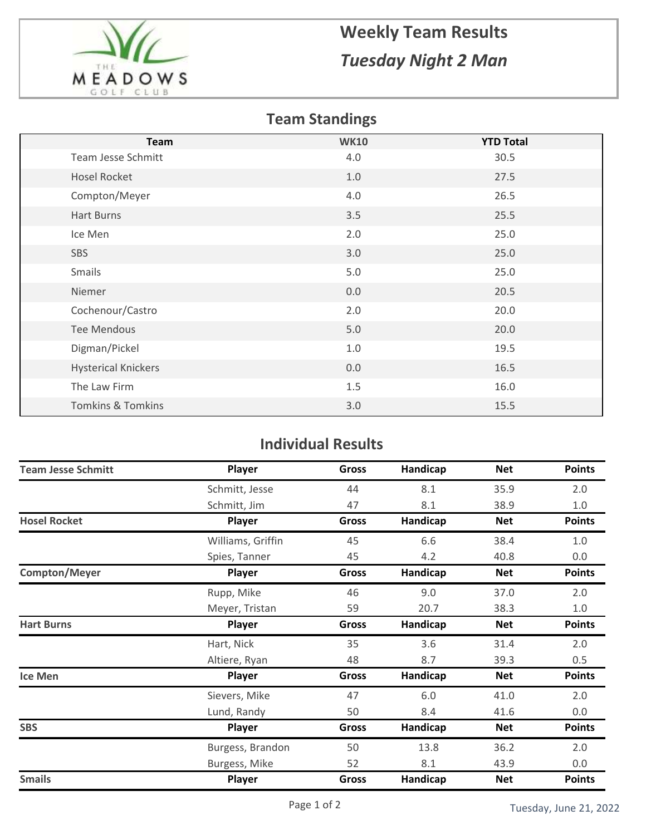

## **Weekly Team Results** *Tuesday Night 2 Man*

## **Team Standings**

| <b>Team</b>                  | <b>WK10</b> | <b>YTD Total</b> |
|------------------------------|-------------|------------------|
| Team Jesse Schmitt           | 4.0         | 30.5             |
| <b>Hosel Rocket</b>          | 1.0         | 27.5             |
| Compton/Meyer                | 4.0         | 26.5             |
| Hart Burns                   | 3.5         | 25.5             |
| Ice Men                      | 2.0         | 25.0             |
| SBS                          | 3.0         | 25.0             |
| Smails                       | 5.0         | 25.0             |
| Niemer                       | 0.0         | 20.5             |
| Cochenour/Castro             | 2.0         | 20.0             |
| <b>Tee Mendous</b>           | 5.0         | 20.0             |
| Digman/Pickel                | 1.0         | 19.5             |
| <b>Hysterical Knickers</b>   | 0.0         | 16.5             |
| The Law Firm                 | 1.5         | 16.0             |
| <b>Tomkins &amp; Tomkins</b> | 3.0         | 15.5             |

## **Individual Results**

| <b>Team Jesse Schmitt</b> | Player            | <b>Gross</b> | Handicap | <b>Net</b> | <b>Points</b> |
|---------------------------|-------------------|--------------|----------|------------|---------------|
|                           | Schmitt, Jesse    | 44           | 8.1      | 35.9       | 2.0           |
|                           | Schmitt, Jim      | 47           | 8.1      | 38.9       | $1.0$         |
| <b>Hosel Rocket</b>       | Player            | <b>Gross</b> | Handicap | <b>Net</b> | <b>Points</b> |
|                           | Williams, Griffin | 45           | 6.6      | 38.4       | 1.0           |
|                           | Spies, Tanner     | 45           | 4.2      | 40.8       | 0.0           |
| Compton/Meyer             | Player            | <b>Gross</b> | Handicap | <b>Net</b> | <b>Points</b> |
|                           | Rupp, Mike        | 46           | 9.0      | 37.0       | 2.0           |
|                           | Meyer, Tristan    | 59           | 20.7     | 38.3       | $1.0\,$       |
| <b>Hart Burns</b>         | Player            | <b>Gross</b> | Handicap | <b>Net</b> | <b>Points</b> |
|                           | Hart, Nick        | 35           | 3.6      | 31.4       | 2.0           |
|                           | Altiere, Ryan     | 48           | 8.7      | 39.3       | 0.5           |
| <b>Ice Men</b>            | Player            | Gross        | Handicap | Net        | <b>Points</b> |
|                           | Sievers, Mike     | 47           | 6.0      | 41.0       | 2.0           |
|                           | Lund, Randy       | 50           | 8.4      | 41.6       | 0.0           |
| <b>SBS</b>                | Player            | <b>Gross</b> | Handicap | <b>Net</b> | <b>Points</b> |
|                           | Burgess, Brandon  | 50           | 13.8     | 36.2       | 2.0           |
|                           | Burgess, Mike     | 52           | 8.1      | 43.9       | 0.0           |
| <b>Smails</b>             | Player            | Gross        | Handicap | <b>Net</b> | <b>Points</b> |